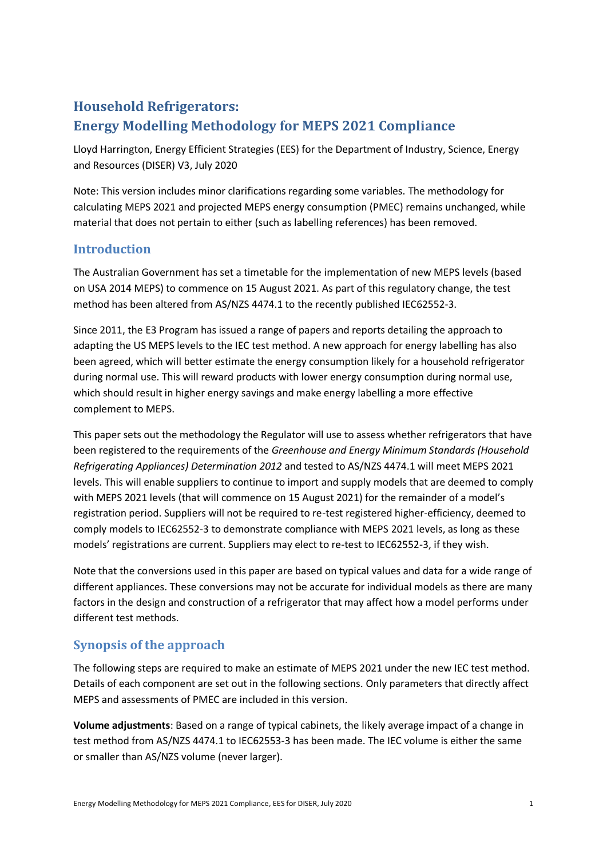# **Household Refrigerators: Energy Modelling Methodology for MEPS 2021 Compliance**

Lloyd Harrington, Energy Efficient Strategies (EES) for the Department of Industry, Science, Energy and Resources (DISER) V3, July 2020

Note: This version includes minor clarifications regarding some variables. The methodology for calculating MEPS 2021 and projected MEPS energy consumption (PMEC) remains unchanged, while material that does not pertain to either (such as labelling references) has been removed.

## **Introduction**

The Australian Government has set a timetable for the implementation of new MEPS levels (based on USA 2014 MEPS) to commence on 15 August 2021. As part of this regulatory change, the test method has been altered from AS/NZS 4474.1 to the recently published IEC62552-3.

Since 2011, the E3 Program has issued a range of papers and reports detailing the approach to adapting the US MEPS levels to the IEC test method. A new approach for energy labelling has also been agreed, which will better estimate the energy consumption likely for a household refrigerator during normal use. This will reward products with lower energy consumption during normal use, which should result in higher energy savings and make energy labelling a more effective complement to MEPS.

This paper sets out the methodology the Regulator will use to assess whether refrigerators that have been registered to the requirements of the *Greenhouse and Energy Minimum Standards (Household Refrigerating Appliances) Determination 2012* and tested to AS/NZS 4474.1 will meet MEPS 2021 levels. This will enable suppliers to continue to import and supply models that are deemed to comply with MEPS 2021 levels (that will commence on 15 August 2021) for the remainder of a model's registration period. Suppliers will not be required to re-test registered higher-efficiency, deemed to comply models to IEC62552-3 to demonstrate compliance with MEPS 2021 levels, as long as these models' registrations are current. Suppliers may elect to re-test to IEC62552-3, if they wish.

Note that the conversions used in this paper are based on typical values and data for a wide range of different appliances. These conversions may not be accurate for individual models as there are many factors in the design and construction of a refrigerator that may affect how a model performs under different test methods.

## **Synopsis of the approach**

The following steps are required to make an estimate of MEPS 2021 under the new IEC test method. Details of each component are set out in the following sections. Only parameters that directly affect MEPS and assessments of PMEC are included in this version.

**Volume adjustments**: Based on a range of typical cabinets, the likely average impact of a change in test method from AS/NZS 4474.1 to IEC62553-3 has been made. The IEC volume is either the same or smaller than AS/NZS volume (never larger).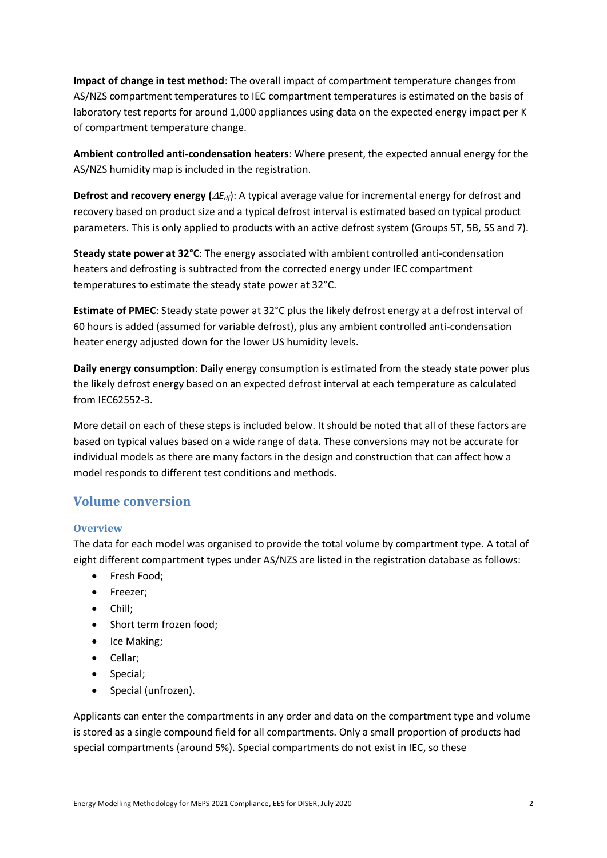**Impact of change in test method**: The overall impact of compartment temperature changes from AS/NZS compartment temperatures to IEC compartment temperatures is estimated on the basis of laboratory test reports for around 1,000 appliances using data on the expected energy impact per K of compartment temperature change.

**Ambient controlled anti-condensation heaters**: Where present, the expected annual energy for the AS/NZS humidity map is included in the registration.

**Defrost and recovery energy (***Edf*): A typical average value for incremental energy for defrost and recovery based on product size and a typical defrost interval is estimated based on typical product parameters. This is only applied to products with an active defrost system (Groups 5T, 5B, 5S and 7).

**Steady state power at 32°C**: The energy associated with ambient controlled anti-condensation heaters and defrosting is subtracted from the corrected energy under IEC compartment temperatures to estimate the steady state power at 32°C.

**Estimate of PMEC**: Steady state power at 32°C plus the likely defrost energy at a defrost interval of 60 hours is added (assumed for variable defrost), plus any ambient controlled anti-condensation heater energy adjusted down for the lower US humidity levels.

**Daily energy consumption**: Daily energy consumption is estimated from the steady state power plus the likely defrost energy based on an expected defrost interval at each temperature as calculated from IEC62552-3.

More detail on each of these steps is included below. It should be noted that all of these factors are based on typical values based on a wide range of data. These conversions may not be accurate for individual models as there are many factors in the design and construction that can affect how a model responds to different test conditions and methods.

## **Volume conversion**

## **Overview**

The data for each model was organised to provide the total volume by compartment type. A total of eight different compartment types under AS/NZS are listed in the registration database as follows:

- Fresh Food;
- Freezer;
- Chill:
- Short term frozen food;
- Ice Making;
- Cellar;
- Special;
- Special (unfrozen).

Applicants can enter the compartments in any order and data on the compartment type and volume is stored as a single compound field for all compartments. Only a small proportion of products had special compartments (around 5%). Special compartments do not exist in IEC, so these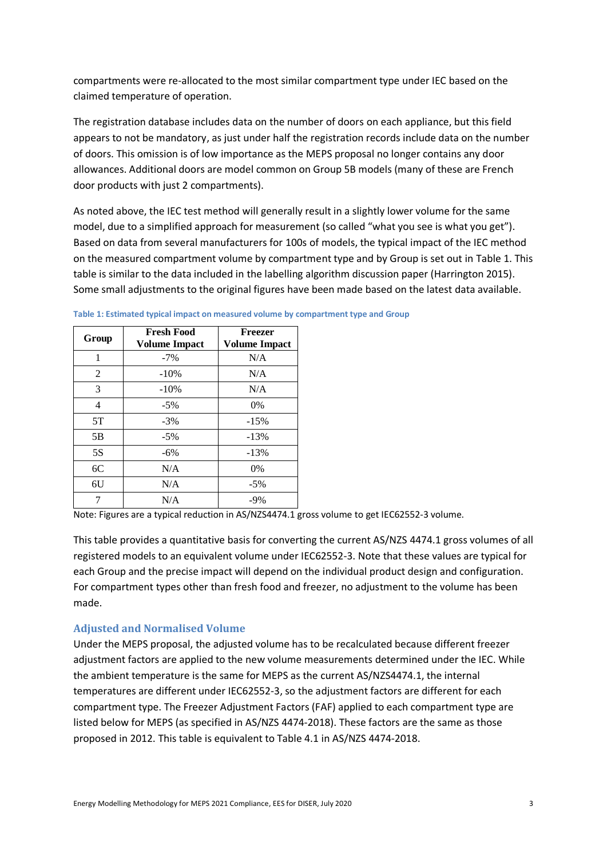compartments were re-allocated to the most similar compartment type under IEC based on the claimed temperature of operation.

The registration database includes data on the number of doors on each appliance, but this field appears to not be mandatory, as just under half the registration records include data on the number of doors. This omission is of low importance as the MEPS proposal no longer contains any door allowances. Additional doors are model common on Group 5B models (many of these are French door products with just 2 compartments).

As noted above, the IEC test method will generally result in a slightly lower volume for the same model, due to a simplified approach for measurement (so called "what you see is what you get"). Based on data from several manufacturers for 100s of models, the typical impact of the IEC method on the measured compartment volume by compartment type and by Group is set out in [Table 1.](#page-2-0) This table is similar to the data included in the labelling algorithm discussion paper (Harrington 2015). Some small adjustments to the original figures have been made based on the latest data available.

| Group | <b>Fresh Food</b><br><b>Volume Impact</b> | Freezer<br><b>Volume Impact</b> |  |
|-------|-------------------------------------------|---------------------------------|--|
| 1     | $-7%$                                     | N/A                             |  |
| 2     | $-10%$                                    | N/A                             |  |
| 3     | $-10%$                                    | N/A                             |  |
| 4     | $-5%$                                     | 0%                              |  |
| 5T    | $-3\%$                                    | $-15%$                          |  |
| 5Β    | $-5%$                                     | $-13%$                          |  |
| 5S    | $-6\%$                                    | $-13%$                          |  |
| 6C    | N/A                                       | 0%                              |  |
| 6U    | N/A                                       | $-5%$                           |  |
| 7     | N/A                                       | $-9\%$                          |  |

<span id="page-2-0"></span>**Table 1: Estimated typical impact on measured volume by compartment type and Group**

Note: Figures are a typical reduction in AS/NZS4474.1 gross volume to get IEC62552-3 volume.

This table provides a quantitative basis for converting the current AS/NZS 4474.1 gross volumes of all registered models to an equivalent volume under IEC62552-3. Note that these values are typical for each Group and the precise impact will depend on the individual product design and configuration. For compartment types other than fresh food and freezer, no adjustment to the volume has been made.

#### **Adjusted and Normalised Volume**

Under the MEPS proposal, the adjusted volume has to be recalculated because different freezer adjustment factors are applied to the new volume measurements determined under the IEC. While the ambient temperature is the same for MEPS as the current AS/NZS4474.1, the internal temperatures are different under IEC62552-3, so the adjustment factors are different for each compartment type. The Freezer Adjustment Factors (FAF) applied to each compartment type are listed below for MEPS (as specified in AS/NZS 4474-2018). These factors are the same as those proposed in 2012. This table is equivalent to Table 4.1 in AS/NZS 4474-2018.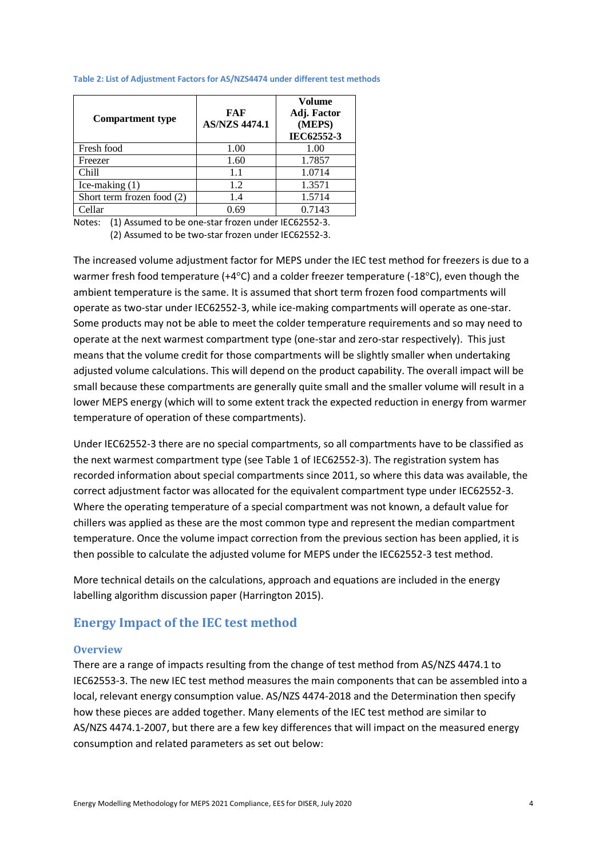| <b>Compartment type</b>    | FAF<br><b>AS/NZS 4474.1</b> | <b>Volume</b><br>Adj. Factor<br>(MEPS)<br>IEC62552-3 |  |
|----------------------------|-----------------------------|------------------------------------------------------|--|
| Fresh food                 | 1.00                        | 1.00                                                 |  |
| Freezer                    | 1.60                        | 1.7857                                               |  |
| Chill                      | 1.1                         | 1.0714                                               |  |
| Ice-making $(1)$           | 1.2                         | 1.3571                                               |  |
| Short term frozen food (2) | 1.4                         | 1.5714                                               |  |
| Cellar                     | 0.69                        | 0.7143                                               |  |

Notes: (1) Assumed to be one-star frozen under IEC62552-3. (2) Assumed to be two-star frozen under IEC62552-3.

The increased volume adjustment factor for MEPS under the IEC test method for freezers is due to a warmer fresh food temperature (+4°C) and a colder freezer temperature (-18°C), even though the ambient temperature is the same. It is assumed that short term frozen food compartments will operate as two-star under IEC62552-3, while ice-making compartments will operate as one-star. Some products may not be able to meet the colder temperature requirements and so may need to operate at the next warmest compartment type (one-star and zero-star respectively). This just means that the volume credit for those compartments will be slightly smaller when undertaking adjusted volume calculations. This will depend on the product capability. The overall impact will be small because these compartments are generally quite small and the smaller volume will result in a lower MEPS energy (which will to some extent track the expected reduction in energy from warmer temperature of operation of these compartments).

Under IEC62552-3 there are no special compartments, so all compartments have to be classified as the next warmest compartment type (see Table 1 of IEC62552-3). The registration system has recorded information about special compartments since 2011, so where this data was available, the correct adjustment factor was allocated for the equivalent compartment type under IEC62552-3. Where the operating temperature of a special compartment was not known, a default value for chillers was applied as these are the most common type and represent the median compartment temperature. Once the volume impact correction from the previous section has been applied, it is then possible to calculate the adjusted volume for MEPS under the IEC62552-3 test method.

More technical details on the calculations, approach and equations are included in the energy labelling algorithm discussion paper (Harrington 2015).

## **Energy Impact of the IEC test method**

#### **Overview**

There are a range of impacts resulting from the change of test method from AS/NZS 4474.1 to IEC62553-3. The new IEC test method measures the main components that can be assembled into a local, relevant energy consumption value. AS/NZS 4474-2018 and the Determination then specify how these pieces are added together. Many elements of the IEC test method are similar to AS/NZS 4474.1-2007, but there are a few key differences that will impact on the measured energy consumption and related parameters as set out below: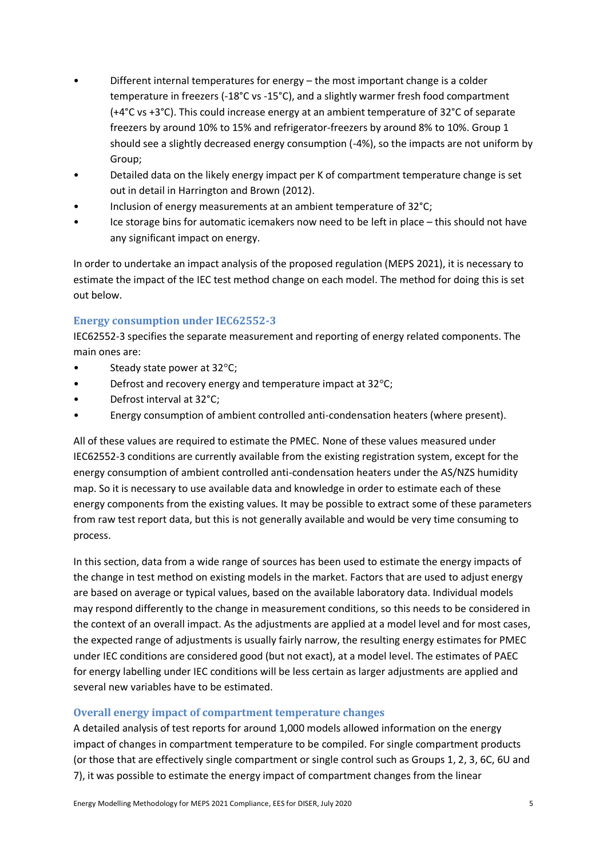- Different internal temperatures for energy the most important change is a colder temperature in freezers (-18°C vs -15°C), and a slightly warmer fresh food compartment (+4°C vs +3°C). This could increase energy at an ambient temperature of 32°C of separate freezers by around 10% to 15% and refrigerator-freezers by around 8% to 10%. Group 1 should see a slightly decreased energy consumption (-4%), so the impacts are not uniform by Group;
- Detailed data on the likely energy impact per K of compartment temperature change is set out in detail in Harrington and Brown (2012).
- Inclusion of energy measurements at an ambient temperature of 32°C;
- Ice storage bins for automatic icemakers now need to be left in place this should not have any significant impact on energy.

In order to undertake an impact analysis of the proposed regulation (MEPS 2021), it is necessary to estimate the impact of the IEC test method change on each model. The method for doing this is set out below.

## **Energy consumption under IEC62552-3**

IEC62552-3 specifies the separate measurement and reporting of energy related components. The main ones are:

- Steady state power at  $32^{\circ}$ C;
- Defrost and recovery energy and temperature impact at  $32^{\circ}$ C;
- Defrost interval at 32°C;
- Energy consumption of ambient controlled anti-condensation heaters (where present).

All of these values are required to estimate the PMEC. None of these values measured under IEC62552-3 conditions are currently available from the existing registration system, except for the energy consumption of ambient controlled anti-condensation heaters under the AS/NZS humidity map. So it is necessary to use available data and knowledge in order to estimate each of these energy components from the existing values. It may be possible to extract some of these parameters from raw test report data, but this is not generally available and would be very time consuming to process.

In this section, data from a wide range of sources has been used to estimate the energy impacts of the change in test method on existing models in the market. Factors that are used to adjust energy are based on average or typical values, based on the available laboratory data. Individual models may respond differently to the change in measurement conditions, so this needs to be considered in the context of an overall impact. As the adjustments are applied at a model level and for most cases, the expected range of adjustments is usually fairly narrow, the resulting energy estimates for PMEC under IEC conditions are considered good (but not exact), at a model level. The estimates of PAEC for energy labelling under IEC conditions will be less certain as larger adjustments are applied and several new variables have to be estimated.

## **Overall energy impact of compartment temperature changes**

A detailed analysis of test reports for around 1,000 models allowed information on the energy impact of changes in compartment temperature to be compiled. For single compartment products (or those that are effectively single compartment or single control such as Groups 1, 2, 3, 6C, 6U and 7), it was possible to estimate the energy impact of compartment changes from the linear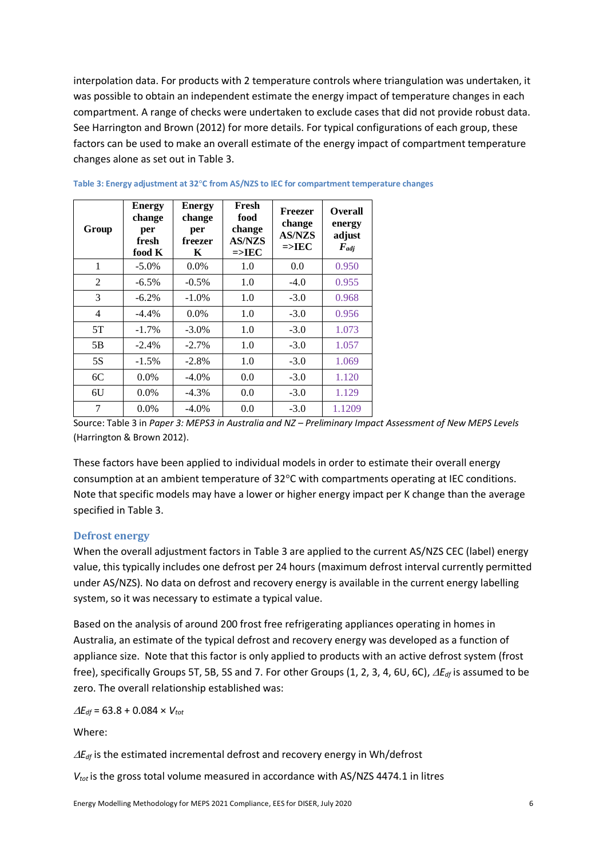interpolation data. For products with 2 temperature controls where triangulation was undertaken, it was possible to obtain an independent estimate the energy impact of temperature changes in each compartment. A range of checks were undertaken to exclude cases that did not provide robust data. See Harrington and Brown (2012) for more details. For typical configurations of each group, these factors can be used to make an overall estimate of the energy impact of compartment temperature changes alone as set out in [Table 3.](#page-5-0)

| Group          | <b>Energy</b><br>change<br>per<br>fresh<br>food K | <b>Energy</b><br>change<br>per<br>freezer<br>K | Fresh<br>food<br>change<br><b>AS/NZS</b><br>$=\gt;$ IEC | Freezer<br>change<br><b>AS/NZS</b><br>$\Rightarrow$ IEC | <b>Overall</b><br>energy<br>adjust<br>$F_{adj}$ |
|----------------|---------------------------------------------------|------------------------------------------------|---------------------------------------------------------|---------------------------------------------------------|-------------------------------------------------|
| 1              | $-5.0\%$                                          | $0.0\%$                                        | 1.0                                                     | 0.0                                                     | 0.950                                           |
| $\overline{2}$ | $-6.5\%$                                          | $-0.5\%$                                       | 1.0                                                     | $-4.0$                                                  | 0.955                                           |
| 3              | $-6.2\%$                                          | $-1.0\%$                                       | 1.0                                                     | $-3.0$                                                  | 0.968                                           |
| $\overline{4}$ | $-4.4\%$                                          | $0.0\%$                                        | 1.0                                                     | $-3.0$                                                  | 0.956                                           |
| 5T             | $-1.7\%$                                          | $-3.0\%$                                       | 1.0                                                     | $-3.0$                                                  | 1.073                                           |
| 5B             | $-2.4%$                                           | $-2.7\%$                                       | 1.0                                                     | $-3.0$                                                  | 1.057                                           |
| 5S             | $-1.5%$                                           | $-2.8%$                                        | 1.0                                                     | $-3.0$                                                  | 1.069                                           |
| 6C             | $0.0\%$                                           | $-4.0\%$                                       | 0.0                                                     | $-3.0$                                                  | 1.120                                           |
| 6U             | $0.0\%$                                           | $-4.3\%$                                       | 0.0                                                     | $-3.0$                                                  | 1.129                                           |
| 7              | 0.0%                                              | $-4.0%$                                        | 0.0                                                     | $-3.0$                                                  | 1.1209                                          |

<span id="page-5-0"></span>**Table 3: Energy adjustment at 32°C from AS/NZS to IEC for compartment temperature changes**

Source: Table 3 in *Paper 3: MEPS3 in Australia and NZ – Preliminary Impact Assessment of New MEPS Levels* (Harrington & Brown 2012).

These factors have been applied to individual models in order to estimate their overall energy consumption at an ambient temperature of 32°C with compartments operating at IEC conditions. Note that specific models may have a lower or higher energy impact per K change than the average specified in [Table 3.](#page-5-0)

## **Defrost energy**

When the overall adjustment factors in [Table 3](#page-5-0) are applied to the current AS/NZS CEC (label) energy value, this typically includes one defrost per 24 hours (maximum defrost interval currently permitted under AS/NZS). No data on defrost and recovery energy is available in the current energy labelling system, so it was necessary to estimate a typical value.

Based on the analysis of around 200 frost free refrigerating appliances operating in homes in Australia, an estimate of the typical defrost and recovery energy was developed as a function of appliance size. Note that this factor is only applied to products with an active defrost system (frost free), specifically Groups 5T, 5B, 5S and 7. For other Groups (1, 2, 3, 4, 6U, 6C), *Edf* is assumed to be zero. The overall relationship established was:

 $\Delta E_{df}$  = 63.8 + 0.084  $\times$   $V_{tot}$ 

Where:

*AE<sub>df</sub>* is the estimated incremental defrost and recovery energy in Wh/defrost

*Vtot* is the gross total volume measured in accordance with AS/NZS 4474.1 in litres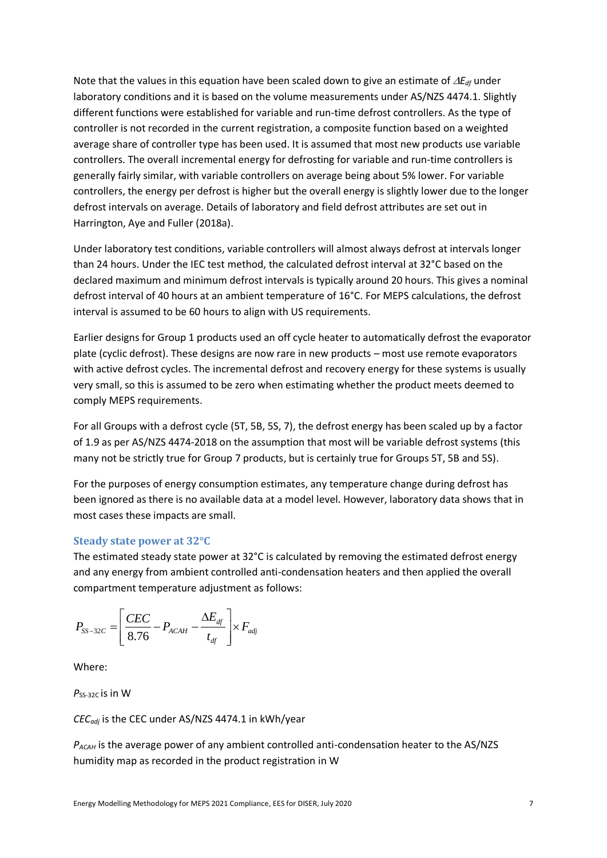Note that the values in this equation have been scaled down to give an estimate of  $\Delta E_d$  under laboratory conditions and it is based on the volume measurements under AS/NZS 4474.1. Slightly different functions were established for variable and run-time defrost controllers. As the type of controller is not recorded in the current registration, a composite function based on a weighted average share of controller type has been used. It is assumed that most new products use variable controllers. The overall incremental energy for defrosting for variable and run-time controllers is generally fairly similar, with variable controllers on average being about 5% lower. For variable controllers, the energy per defrost is higher but the overall energy is slightly lower due to the longer defrost intervals on average. Details of laboratory and field defrost attributes are set out in Harrington, Aye and Fuller (2018a).

Under laboratory test conditions, variable controllers will almost always defrost at intervals longer than 24 hours. Under the IEC test method, the calculated defrost interval at 32°C based on the declared maximum and minimum defrost intervals is typically around 20 hours. This gives a nominal defrost interval of 40 hours at an ambient temperature of 16°C. For MEPS calculations, the defrost interval is assumed to be 60 hours to align with US requirements.

Earlier designs for Group 1 products used an off cycle heater to automatically defrost the evaporator plate (cyclic defrost). These designs are now rare in new products – most use remote evaporators with active defrost cycles. The incremental defrost and recovery energy for these systems is usually very small, so this is assumed to be zero when estimating whether the product meets deemed to comply MEPS requirements.

For all Groups with a defrost cycle (5T, 5B, 5S, 7), the defrost energy has been scaled up by a factor of 1.9 as per AS/NZS 4474-2018 on the assumption that most will be variable defrost systems (this many not be strictly true for Group 7 products, but is certainly true for Groups 5T, 5B and 5S).

For the purposes of energy consumption estimates, any temperature change during defrost has been ignored as there is no available data at a model level. However, laboratory data shows that in most cases these impacts are small.

## **Steady state power at 32°C**

The estimated steady state power at 32°C is calculated by removing the estimated defrost energy and any energy from ambient controlled anti-condensation heaters and then applied the overall compartment temperature adjustment as follows:

$$
P_{SS-32C} = \left[ \frac{CEC}{8.76} - P_{ACAH} - \frac{\Delta E_{df}}{t_{df}} \right] \times F_{adj}
$$

Where:

P<sub>SS-32C</sub> is in W

*CECadj* is the CEC under AS/NZS 4474.1 in kWh/year

*PACAH* is the average power of any ambient controlled anti-condensation heater to the AS/NZS humidity map as recorded in the product registration in W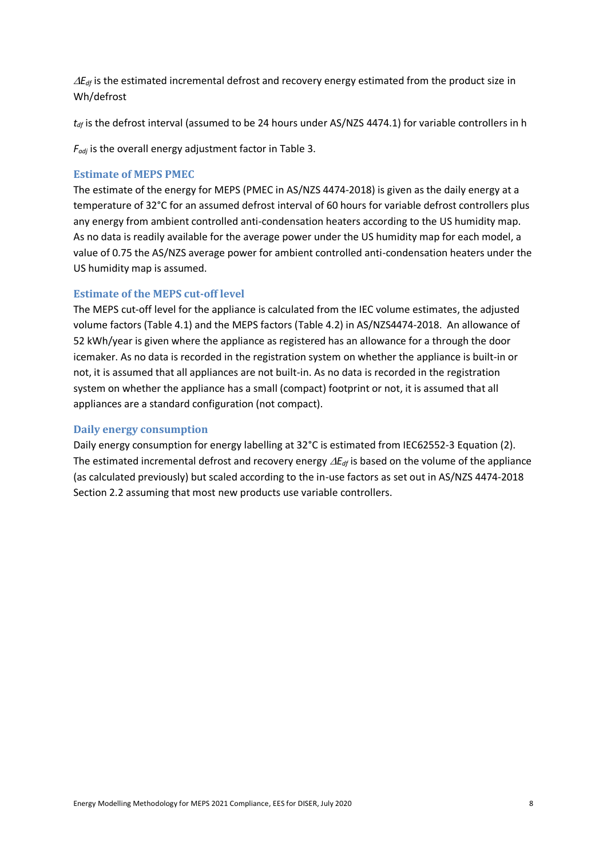*AE<sub>df</sub>* is the estimated incremental defrost and recovery energy estimated from the product size in Wh/defrost

*t<sub>df</sub>* is the defrost interval (assumed to be 24 hours under AS/NZS 4474.1) for variable controllers in h

*Fadj* is the overall energy adjustment factor in [Table 3.](#page-5-0)

### **Estimate of MEPS PMEC**

The estimate of the energy for MEPS (PMEC in AS/NZS 4474-2018) is given as the daily energy at a temperature of 32°C for an assumed defrost interval of 60 hours for variable defrost controllers plus any energy from ambient controlled anti-condensation heaters according to the US humidity map. As no data is readily available for the average power under the US humidity map for each model, a value of 0.75 the AS/NZS average power for ambient controlled anti-condensation heaters under the US humidity map is assumed.

#### **Estimate of the MEPS cut-off level**

The MEPS cut-off level for the appliance is calculated from the IEC volume estimates, the adjusted volume factors (Table 4.1) and the MEPS factors (Table 4.2) in AS/NZS4474-2018. An allowance of 52 kWh/year is given where the appliance as registered has an allowance for a through the door icemaker. As no data is recorded in the registration system on whether the appliance is built-in or not, it is assumed that all appliances are not built-in. As no data is recorded in the registration system on whether the appliance has a small (compact) footprint or not, it is assumed that all appliances are a standard configuration (not compact).

### **Daily energy consumption**

Daily energy consumption for energy labelling at 32°C is estimated from IEC62552-3 Equation (2). The estimated incremental defrost and recovery energy  $\Delta E_{df}$  is based on the volume of the appliance (as calculated previously) but scaled according to the in-use factors as set out in AS/NZS 4474-2018 Section 2.2 assuming that most new products use variable controllers.